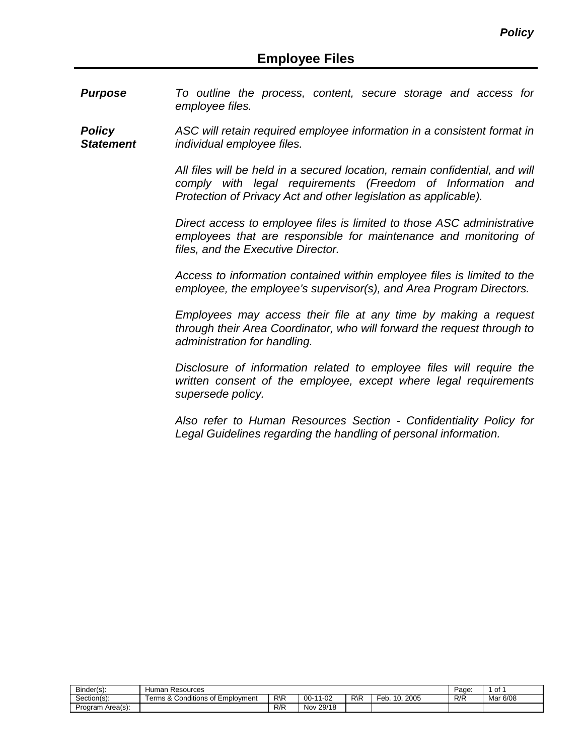*Purpose To outline the process, content, secure storage and access for employee files.* 

*Policy Statement ASC will retain required employee information in a consistent format in individual employee files.* 

> *All files will be held in a secured location, remain confidential, and will comply with legal requirements (Freedom of Information and Protection of Privacy Act and other legislation as applicable).*

> *Direct access to employee files is limited to those ASC administrative employees that are responsible for maintenance and monitoring of files, and the Executive Director.*

> *Access to information contained within employee files is limited to the employee, the employee's supervisor(s), and Area Program Directors.*

> *Employees may access their file at any time by making a request through their Area Coordinator, who will forward the request through to administration for handling.*

> *Disclosure of information related to employee files will require the written consent of the employee, except where legal requirements supersede policy.*

> *Also refer to Human Resources Section - Confidentiality Policy for Legal Guidelines regarding the handling of personal information.*

| $\sim$<br>Binder(s): | duman<br>Resources                                                          | Page.           | of             |                 |                      |     |          |
|----------------------|-----------------------------------------------------------------------------|-----------------|----------------|-----------------|----------------------|-----|----------|
| Section(s):          | $\cdots$<br>-<br>$\Omega$<br>Terms &<br>f Emplovment<br>⊺ onditions of<br>w | $R\backslash R$ | 1-02<br>$00 -$ | $R\backslash R$ | 2005<br>ົ−eb.<br>10. | R/R | Mar 6/08 |
| Program Area(s):     |                                                                             | R/R             | Nov 29/18      |                 |                      |     |          |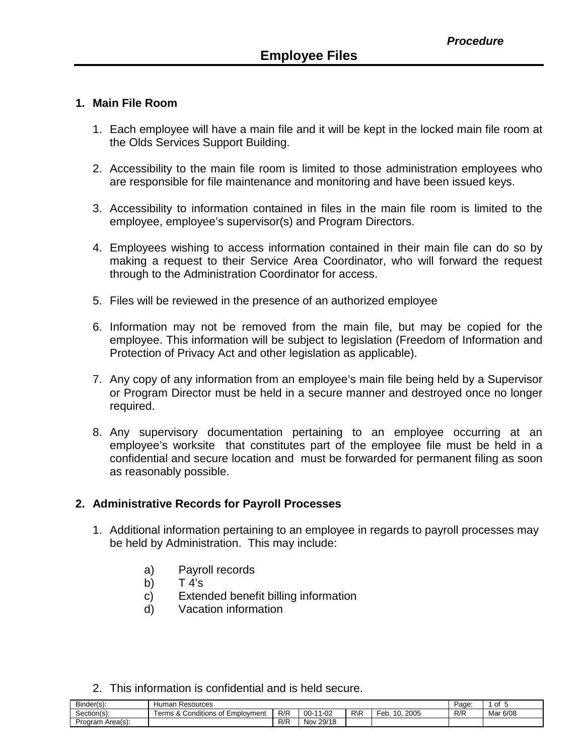#### **1. Main File Room**

- 1. Each employee will have a main file and it will be kept in the locked main file room at the Olds Services Support Building.
- 2. Accessibility to the main file room is limited to those administration employees who are responsible for file maintenance and monitoring and have been issued keys.
- 3. Accessibility to information contained in files in the main file room is limited to the employee, employee's supervisor(s) and Program Directors.
- 4. Employees wishing to access information contained in their main file can do so by making a request to their Service Area Coordinator, who will forward the request through to the Administration Coordinator for access.
- 5. Files will be reviewed in the presence of an authorized employee
- 6. Information may not be removed from the main file, but may be copied for the employee. This information will be subject to legislation (Freedom of Information and Protection of Privacy Act and other legislation as applicable).
- 7. Any copy of any information from an employee's main file being held by a Supervisor or Program Director must be held in a secure manner and destroyed once no longer required.
- 8. Any supervisory documentation pertaining to an employee occurring at an employee's worksite that constitutes part of the employee file must be held in a confidential and secure location and must be forwarded for permanent filing as soon as reasonably possible.

# **2. Administrative Records for Payroll Processes**

- 1. Additional information pertaining to an employee in regards to payroll processes may be held by Administration. This may include:
	- a) Payroll records
	- b)  $T 4's$
	- c) Extended benefit billing information
	- d) Vacation information
- 2. This information is confidential and is held secure.

| Binder(s):       | Human<br>Resources                           | Paɑe | Οt           |                 |                           |     |          |
|------------------|----------------------------------------------|------|--------------|-----------------|---------------------------|-----|----------|
| Section(s):      | Conditions<br>t Emplovment<br>erms &<br>. ot | R/R  | 1-02<br>00-  | $R\backslash R$ | Feb.<br>2005<br>1 ∩<br>U. | R/R | Mar 6/08 |
| Program Area(s): |                                              | R/R  | 29/18<br>Nov |                 |                           |     |          |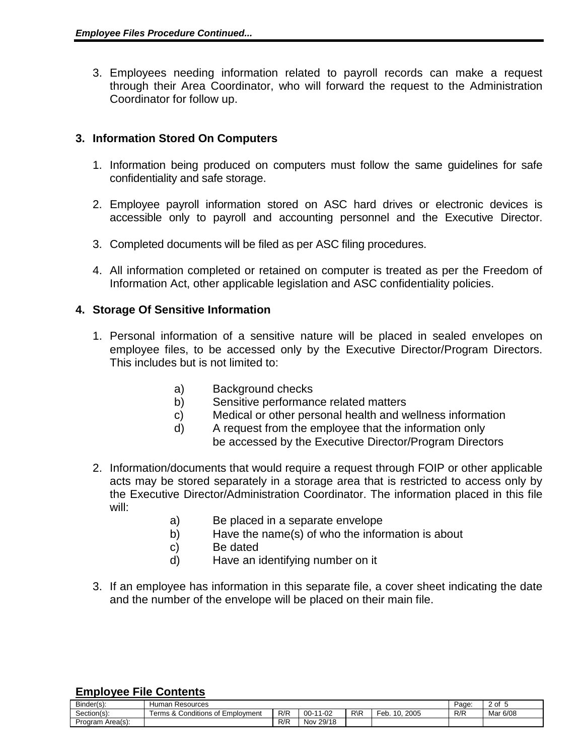3. Employees needing information related to payroll records can make a request through their Area Coordinator, who will forward the request to the Administration Coordinator for follow up.

## **3. Information Stored On Computers**

- 1. Information being produced on computers must follow the same guidelines for safe confidentiality and safe storage.
- 2. Employee payroll information stored on ASC hard drives or electronic devices is accessible only to payroll and accounting personnel and the Executive Director.
- 3. Completed documents will be filed as per ASC filing procedures.
- 4. All information completed or retained on computer is treated as per the Freedom of Information Act, other applicable legislation and ASC confidentiality policies.

## **4. Storage Of Sensitive Information**

- 1. Personal information of a sensitive nature will be placed in sealed envelopes on employee files, to be accessed only by the Executive Director/Program Directors. This includes but is not limited to:
	- a) Background checks
	- b) Sensitive performance related matters
	- c) Medical or other personal health and wellness information
	- d) A request from the employee that the information only be accessed by the Executive Director/Program Directors
- 2. Information/documents that would require a request through FOIP or other applicable acts may be stored separately in a storage area that is restricted to access only by the Executive Director/Administration Coordinator. The information placed in this file will:
	- a) Be placed in a separate envelope
	- b) Have the name(s) of who the information is about
	- c) Be dated
	- d) Have an identifying number on it
- 3. If an employee has information in this separate file, a cover sheet indicating the date and the number of the envelope will be placed on their main file.

| $\sim$<br>Binder(s): | Resources<br>Human                                             | Page. | 0f<br>ັ         |                 |                                   |     |          |
|----------------------|----------------------------------------------------------------|-------|-----------------|-----------------|-----------------------------------|-----|----------|
| Section(s):          | - -<br><sup>2</sup> Conditions or<br>: of Emplovment<br>erms & | R/R   | 11-02<br>$00-1$ | $R\backslash R$ | 2005<br>-<br>Feb.<br>$\mathbf{u}$ | R/R | Mar 6/08 |
| Program Area(s):     |                                                                | R/R   | 29/18<br>Nov    |                 |                                   |     |          |

#### **Employee File Contents**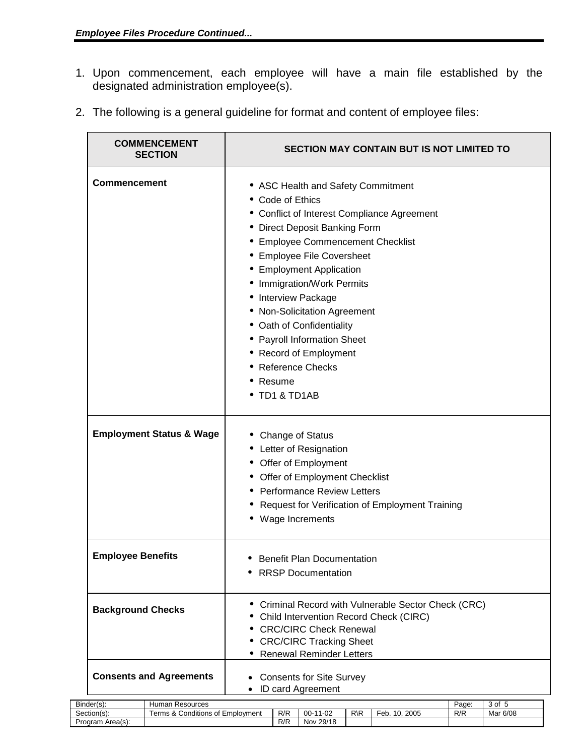Program Area(s):

- 1. Upon commencement, each employee will have a main file established by the designated administration employee(s).
- 2. The following is a general guideline for format and content of employee files:

|                          | <b>COMMENCEMENT</b><br><b>SECTION</b> | <b>SECTION MAY CONTAIN BUT IS NOT LIMITED TO</b>                                                                                                                                                                                                                                                                                                                                                                                                                                    |     |                                                                                                                                                           |                 |                                                                                              |  |       |          |
|--------------------------|---------------------------------------|-------------------------------------------------------------------------------------------------------------------------------------------------------------------------------------------------------------------------------------------------------------------------------------------------------------------------------------------------------------------------------------------------------------------------------------------------------------------------------------|-----|-----------------------------------------------------------------------------------------------------------------------------------------------------------|-----------------|----------------------------------------------------------------------------------------------|--|-------|----------|
| <b>Commencement</b>      |                                       | • ASC Health and Safety Commitment<br>Code of Ethics<br>• Conflict of Interest Compliance Agreement<br>Direct Deposit Banking Form<br><b>Employee Commencement Checklist</b><br><b>Employee File Coversheet</b><br><b>Employment Application</b><br>Immigration/Work Permits<br>Interview Package<br>• Non-Solicitation Agreement<br>Oath of Confidentiality<br><b>Payroll Information Sheet</b><br><b>Record of Employment</b><br><b>Reference Checks</b><br>Resume<br>TD1 & TD1AB |     |                                                                                                                                                           |                 |                                                                                              |  |       |          |
|                          | <b>Employment Status &amp; Wage</b>   |                                                                                                                                                                                                                                                                                                                                                                                                                                                                                     |     | Change of Status<br>Letter of Resignation<br>Offer of Employment<br>Offer of Employment Checklist<br><b>Performance Review Letters</b><br>Wage Increments |                 | Request for Verification of Employment Training                                              |  |       |          |
| <b>Employee Benefits</b> |                                       | <b>Benefit Plan Documentation</b><br><b>RRSP Documentation</b><br>٠                                                                                                                                                                                                                                                                                                                                                                                                                 |     |                                                                                                                                                           |                 |                                                                                              |  |       |          |
| <b>Background Checks</b> |                                       | ٠                                                                                                                                                                                                                                                                                                                                                                                                                                                                                   |     | <b>CRC/CIRC Check Renewal</b><br><b>CRC/CIRC Tracking Sheet</b><br><b>Renewal Reminder Letters</b>                                                        |                 | Criminal Record with Vulnerable Sector Check (CRC)<br>Child Intervention Record Check (CIRC) |  |       |          |
|                          | <b>Consents and Agreements</b>        | $\bullet$<br>$\bullet$                                                                                                                                                                                                                                                                                                                                                                                                                                                              |     | <b>Consents for Site Survey</b><br>ID card Agreement                                                                                                      |                 |                                                                                              |  |       |          |
| Binder(s):               | Human Resources                       |                                                                                                                                                                                                                                                                                                                                                                                                                                                                                     |     |                                                                                                                                                           |                 |                                                                                              |  | Page: | 3 of 5   |
| Section(s):              | Terms & Conditions of Employment      |                                                                                                                                                                                                                                                                                                                                                                                                                                                                                     | R/R | 00-11-02                                                                                                                                                  | $R\backslash R$ | Feb. 10, 2005                                                                                |  | R/R   | Mar 6/08 |
| Program Area(s):         |                                       |                                                                                                                                                                                                                                                                                                                                                                                                                                                                                     | R/R | Nov 29/18                                                                                                                                                 |                 |                                                                                              |  |       |          |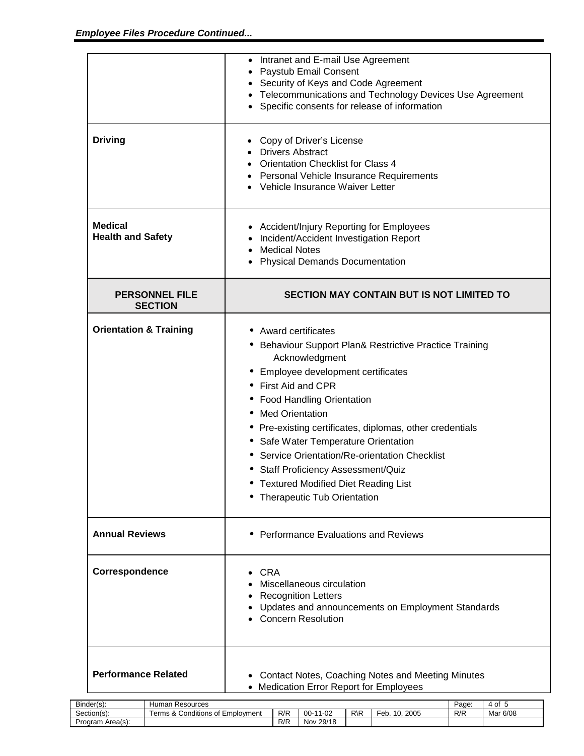|                                                          | • Intranet and E-mail Use Agreement<br><b>Paystub Email Consent</b><br>Security of Keys and Code Agreement<br>Telecommunications and Technology Devices Use Agreement<br>Specific consents for release of information                                                                                                                                                                                                                                                                                        |
|----------------------------------------------------------|--------------------------------------------------------------------------------------------------------------------------------------------------------------------------------------------------------------------------------------------------------------------------------------------------------------------------------------------------------------------------------------------------------------------------------------------------------------------------------------------------------------|
| <b>Driving</b>                                           | Copy of Driver's License<br><b>Drivers Abstract</b><br><b>Orientation Checklist for Class 4</b><br><b>Personal Vehicle Insurance Requirements</b><br>Vehicle Insurance Waiver Letter                                                                                                                                                                                                                                                                                                                         |
| <b>Medical</b><br><b>Health and Safety</b>               | Accident/Injury Reporting for Employees<br>Incident/Accident Investigation Report<br><b>Medical Notes</b><br><b>Physical Demands Documentation</b>                                                                                                                                                                                                                                                                                                                                                           |
| <b>PERSONNEL FILE</b><br><b>SECTION</b>                  | <b>SECTION MAY CONTAIN BUT IS NOT LIMITED TO</b>                                                                                                                                                                                                                                                                                                                                                                                                                                                             |
| <b>Orientation &amp; Training</b>                        | <b>Award certificates</b><br>Behaviour Support Plan& Restrictive Practice Training<br>Acknowledgment<br>Employee development certificates<br>First Aid and CPR<br>• Food Handling Orientation<br><b>Med Orientation</b><br>Pre-existing certificates, diplomas, other credentials<br>Safe Water Temperature Orientation<br>٠<br>Service Orientation/Re-orientation Checklist<br><b>Staff Proficiency Assessment/Quiz</b><br><b>Textured Modified Diet Reading List</b><br><b>Therapeutic Tub Orientation</b> |
| <b>Annual Reviews</b>                                    | <b>Performance Evaluations and Reviews</b>                                                                                                                                                                                                                                                                                                                                                                                                                                                                   |
| Correspondence                                           | CRA<br>Miscellaneous circulation<br><b>Recognition Letters</b><br>Updates and announcements on Employment Standards<br><b>Concern Resolution</b>                                                                                                                                                                                                                                                                                                                                                             |
| <b>Performance Related</b><br>Human Resources<br>der(s). | • Contact Notes, Coaching Notes and Meeting Minutes<br>• Medication Error Report for Employees<br>Page: $4 of 5$                                                                                                                                                                                                                                                                                                                                                                                             |

| $\overline{\phantom{a}}$<br>Binder(s) | Resources<br>Humar                                          | Page                  | $\mathsf{D}^*$<br>$\mathbf{u}$ |                 |                              |     |          |
|---------------------------------------|-------------------------------------------------------------|-----------------------|--------------------------------|-----------------|------------------------------|-----|----------|
| ~<br>Section(s):                      | <br>. –<br>Employment<br>erms<br>Conditions of <sup>F</sup> | R/R                   | -02<br>00-                     | $R\backslash R$ | 2005<br>∙eb.<br>$\mathbf{u}$ | R/R | Mar 6/08 |
| Area(s):<br>Program                   |                                                             | D/D<br>ᄿ <del>൛</del> | 29/18<br>Nov.                  |                 |                              |     |          |